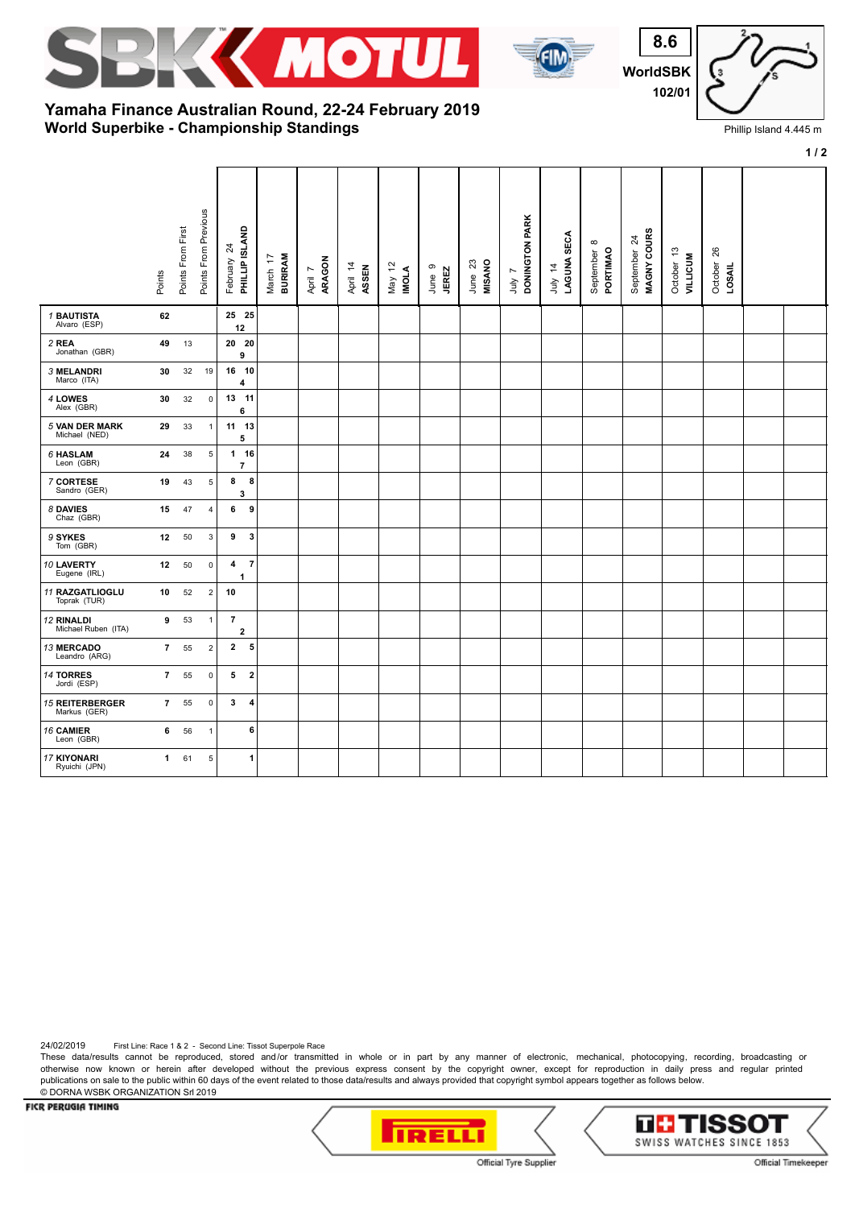



**WorldSB 8.6 102/01**

## **World Superbike - Championship Standings Yamaha Finance Australian Round, 22-24 February 2019**

| K<br>1 |  |
|--------|--|

Phillip Island 4.445 m

|                                        |                | $1/2$             |                           |                                                |                            |                   |                   |                        |                 |                   |                                          |                        |                                   |                             |                               |                      |  |
|----------------------------------------|----------------|-------------------|---------------------------|------------------------------------------------|----------------------------|-------------------|-------------------|------------------------|-----------------|-------------------|------------------------------------------|------------------------|-----------------------------------|-----------------------------|-------------------------------|----------------------|--|
|                                        | Points         | Points From First | Points From Previous      | PHILLIP ISLAND<br>$\overline{24}$<br>February  | <b>BURIRAM</b><br>March 17 | ARAGON<br>April 7 | April 14<br>ASSEN | May 12<br><b>INOLA</b> | June 9<br>JEREZ | June 23<br>MISANO | DONINGTON PARK<br>$\overline{ }$<br>yinr | LAGUNA SECA<br>July 14 | $\infty$<br>PORTIMAO<br>September | MAGNY COURS<br>September 24 | October 13<br><b>VILLICUM</b> | October 26<br>LOSAIL |  |
| <b>1 BAUTISTA</b><br>Alvaro (ESP)      | 62             |                   |                           | 25 25<br>12                                    |                            |                   |                   |                        |                 |                   |                                          |                        |                                   |                             |                               |                      |  |
| 2 REA<br>Jonathan (GBR)                | 49             | 13                |                           | 20 20<br>9                                     |                            |                   |                   |                        |                 |                   |                                          |                        |                                   |                             |                               |                      |  |
| 3 MELANDRI<br>Marco (ITA)              | 30             | 32                | 19                        | 16 10<br>4                                     |                            |                   |                   |                        |                 |                   |                                          |                        |                                   |                             |                               |                      |  |
| 4 LOWES<br>Alex (GBR)                  | 30             | 32                | $\mathsf 0$               | 13 11<br>6                                     |                            |                   |                   |                        |                 |                   |                                          |                        |                                   |                             |                               |                      |  |
| <b>5 VAN DER MARK</b><br>Michael (NED) | 29             | 33                | $\mathbf{1}$              | 11 13<br>5                                     |                            |                   |                   |                        |                 |                   |                                          |                        |                                   |                             |                               |                      |  |
| 6 HASLAM<br>Leon (GBR)                 | 24             | 38                | $\,$ 5                    | $1 16$<br>$\overline{7}$                       |                            |                   |                   |                        |                 |                   |                                          |                        |                                   |                             |                               |                      |  |
| 7 CORTESE<br>Sandro (GER)              | 19             | 43                | 5                         | 8<br>8<br>3                                    |                            |                   |                   |                        |                 |                   |                                          |                        |                                   |                             |                               |                      |  |
| 8 DAVIES<br>Chaz (GBR)                 | 15             | 47                | $\overline{4}$            | 9<br>6                                         |                            |                   |                   |                        |                 |                   |                                          |                        |                                   |                             |                               |                      |  |
| 9 SYKES<br>Tom (GBR)                   | 12             | 50                | $\ensuremath{\mathsf{3}}$ | $\mathbf{3}$<br>9                              |                            |                   |                   |                        |                 |                   |                                          |                        |                                   |                             |                               |                      |  |
| 10 LAVERTY<br>Eugene (IRL)             | 12             | 50                | $\mathbf 0$               | $\overline{7}$<br>$\overline{\mathbf{4}}$<br>1 |                            |                   |                   |                        |                 |                   |                                          |                        |                                   |                             |                               |                      |  |
| 11 RAZGATLIOGLU<br>Toprak (TUR)        | 10             | 52                | $\sqrt{2}$                | 10                                             |                            |                   |                   |                        |                 |                   |                                          |                        |                                   |                             |                               |                      |  |
| 12 RINALDI<br>Michael Ruben (ITA)      | 9              | 53                | $\mathbf{1}$              | $\overline{7}$<br>$\mathbf{2}$                 |                            |                   |                   |                        |                 |                   |                                          |                        |                                   |                             |                               |                      |  |
| 13 MERCADO<br>Leandro (ARG)            | $7^{\circ}$    | 55                | $\overline{2}$            | 2 <sub>5</sub>                                 |                            |                   |                   |                        |                 |                   |                                          |                        |                                   |                             |                               |                      |  |
| <b>14 TORRES</b><br>Jordi (ESP)        | $\overline{7}$ | 55                | $\mathbf 0$               | $\overline{\mathbf{2}}$<br>5                   |                            |                   |                   |                        |                 |                   |                                          |                        |                                   |                             |                               |                      |  |
| <b>15 REITERBERGER</b><br>Markus (GER) | $\overline{7}$ | 55                | $\pmb{0}$                 | 3<br>4                                         |                            |                   |                   |                        |                 |                   |                                          |                        |                                   |                             |                               |                      |  |
| 16 CAMIER<br>Leon (GBR)                | 6              | 56                | $\mathbf{1}$              | 6                                              |                            |                   |                   |                        |                 |                   |                                          |                        |                                   |                             |                               |                      |  |
| <b>17 KIYONARI</b><br>Ryuichi (JPN)    | $\mathbf{1}$   | 61                | $\,$ 5 $\,$               | $\mathbf{1}$                                   |                            |                   |                   |                        |                 |                   |                                          |                        |                                   |                             |                               |                      |  |

24/02/2019 First Line: Race 1 & 2 - Second Line: Tissot Superpole Race

These data/results cannot be reproduced, stored and/or transmitted in whole or in part by any manner of electronic, mechanical, photocopying, recording, broadcasting or otherwise now known or herein after developed without the previous express consent by the copyright owner, except for reproduction in daily press and regular printed publications on sale to the public within 60 days of the event related to those data/results and always provided that copyright symbol appears together as follows below. © DORNA WSBK ORGANIZATION Srl 2019

FICR PERUGIA TIMING